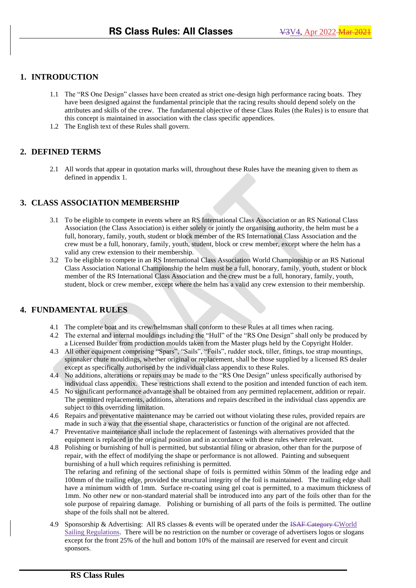## **1. INTRODUCTION**

- 1.1 The "RS One Design" classes have been created as strict one-design high performance racing boats. They have been designed against the fundamental principle that the racing results should depend solely on the attributes and skills of the crew. The fundamental objective of these Class Rules (the Rules) is to ensure that this concept is maintained in association with the class specific appendices.
- 1.2 The English text of these Rules shall govern.

#### **2. DEFINED TERMS**

2.1 All words that appear in quotation marks will, throughout these Rules have the meaning given to them as defined in appendix 1.

## **3. CLASS ASSOCIATION MEMBERSHIP**

- 3.1 To be eligible to compete in events where an RS International Class Association or an RS National Class Association (the Class Association) is either solely or jointly the organising authority, the helm must be a full, honorary, family, youth, student or block member of the RS International Class Association and the crew must be a full, honorary, family, youth, student, block or crew member, except where the helm has a valid any crew extension to their membership.
- 3.2 To be eligible to compete in an RS International Class Association World Championship or an RS National Class Association National Championship the helm must be a full, honorary, family, youth, student or block member of the RS International Class Association and the crew must be a full, honorary, family, youth, student, block or crew member, except where the helm has a valid any crew extension to their membership.

#### **4. FUNDAMENTAL RULES**

- 4.1 The complete boat and its crew/helmsman shall conform to these Rules at all times when racing.
- 4.2 The external and internal mouldings including the "Hull" of the "RS One Design" shall only be produced by a Licensed Builder from production moulds taken from the Master plugs held by the Copyright Holder.
- 4.3 All other equipment comprising "Spars", "Sails", "Foils", rudder stock, tiller, fittings, toe strap mountings, spinnaker chute mouldings, whether original or replacement, shall be those supplied by a licensed RS dealer except as specifically authorised by the individual class appendix to these Rules.
- 4.4 No additions, alterations or repairs may be made to the "RS One Design" unless specifically authorised by individual class appendix. These restrictions shall extend to the position and intended function of each item.
- 4.5 No significant performance advantage shall be obtained from any permitted replacement, addition or repair. The permitted replacements, additions, alterations and repairs described in the individual class appendix are subject to this overriding limitation.
- 4.6 Repairs and preventative maintenance may be carried out without violating these rules, provided repairs are made in such a way that the essential shape, characteristics or function of the original are not affected.
- 4.7 Preventative maintenance shall include the replacement of fastenings with alternatives provided that the equipment is replaced in the original position and in accordance with these rules where relevant.
- 4.8 Polishing or burnishing of hull is permitted, but substantial filing or abrasion, other than for the purpose of repair, with the effect of modifying the shape or performance is not allowed. Painting and subsequent burnishing of a hull which requires refinishing is permitted. The refaring and refining of the sectional shape of foils is permitted within 50mm of the leading edge and 100mm of the trailing edge, provided the structural integrity of the foil is maintained. The trailing edge shall have a minimum width of 1mm. Surface re-coating using gel coat is permitted, to a maximum thickness of 1mm. No other new or non-standard material shall be introduced into any part of the foils other than for the sole purpose of repairing damage. Polishing or burnishing of all parts of the foils is permitted. The outline shape of the foils shall not be altered.
- 4.9 Sponsorship & Advertising: All RS classes & events will be operated under the ISAF Category CWorld Sailing Regulations. There will be no restriction on the number or coverage of advertisers logos or slogans except for the front 25% of the hull and bottom 10% of the mainsail are reserved for event and circuit sponsors.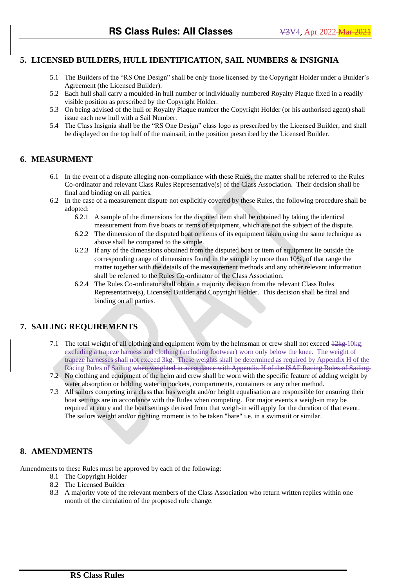## **5. LICENSED BUILDERS, HULL IDENTIFICATION, SAIL NUMBERS & INSIGNIA**

- 5.1 The Builders of the "RS One Design" shall be only those licensed by the Copyright Holder under a Builder's Agreement (the Licensed Builder).
- 5.2 Each hull shall carry a moulded-in hull number or individually numbered Royalty Plaque fixed in a readily visible position as prescribed by the Copyright Holder.
- 5.3 On being advised of the hull or Royalty Plaque number the Copyright Holder (or his authorised agent) shall issue each new hull with a Sail Number.
- 5.4 The Class Insignia shall be the "RS One Design" class logo as prescribed by the Licensed Builder, and shall be displayed on the top half of the mainsail, in the position prescribed by the Licensed Builder.

## **6. MEASURMENT**

- 6.1 In the event of a dispute alleging non-compliance with these Rules, the matter shall be referred to the Rules Co-ordinator and relevant Class Rules Representative(s) of the Class Association. Their decision shall be final and binding on all parties.
- 6.2 In the case of a measurement dispute not explicitly covered by these Rules, the following procedure shall be adopted:
	- 6.2.1 A sample of the dimensions for the disputed item shall be obtained by taking the identical measurement from five boats or items of equipment, which are not the subject of the dispute.
	- 6.2.2 The dimension of the disputed boat or items of its equipment taken using the same technique as above shall be compared to the sample.
	- 6.2.3 If any of the dimensions obtained from the disputed boat or item of equipment lie outside the corresponding range of dimensions found in the sample by more than 10%, of that range the matter together with the details of the measurement methods and any other relevant information shall be referred to the Rules Co-ordinator of the Class Association.
	- 6.2.4 The Rules Co-ordinator shall obtain a majority decision from the relevant Class Rules Representative(s), Licensed Builder and Copyright Holder. This decision shall be final and binding on all parties.

# **7. SAILING REQUIREMENTS**

- 7.1 The total weight of all clothing and equipment worn by the helmsman or crew shall not exceed  $\frac{12k}{5}$  10kg, excluding a trapeze harness and clothing (including footwear) worn only below the knee. The weight of trapeze harnesses shall not exceed 3kg. These weights shall be determined as required by Appendix H of the Racing Rules of Sailing.when weighted in accordance with Appendix H of the ISAF Racing Rules of Sailing.
- 7.2 No clothing and equipment of the helm and crew shall be worn with the specific feature of adding weight by water absorption or holding water in pockets, compartments, containers or any other method.
- 7.3 All sailors competing in a class that has weight and/or height equalisation are responsible for ensuring their boat settings are in accordance with the Rules when competing. For major events a weigh-in may be required at entry and the boat settings derived from that weigh-in will apply for the duration of that event. The sailors weight and/or righting moment is to be taken "bare" i.e. in a swimsuit or similar.

# **8. AMENDMENTS**

Amendments to these Rules must be approved by each of the following:

- 8.1 The Copyright Holder
- 8.2 The Licensed Builder
- 8.3 A majority vote of the relevant members of the Class Association who return written replies within one month of the circulation of the proposed rule change.